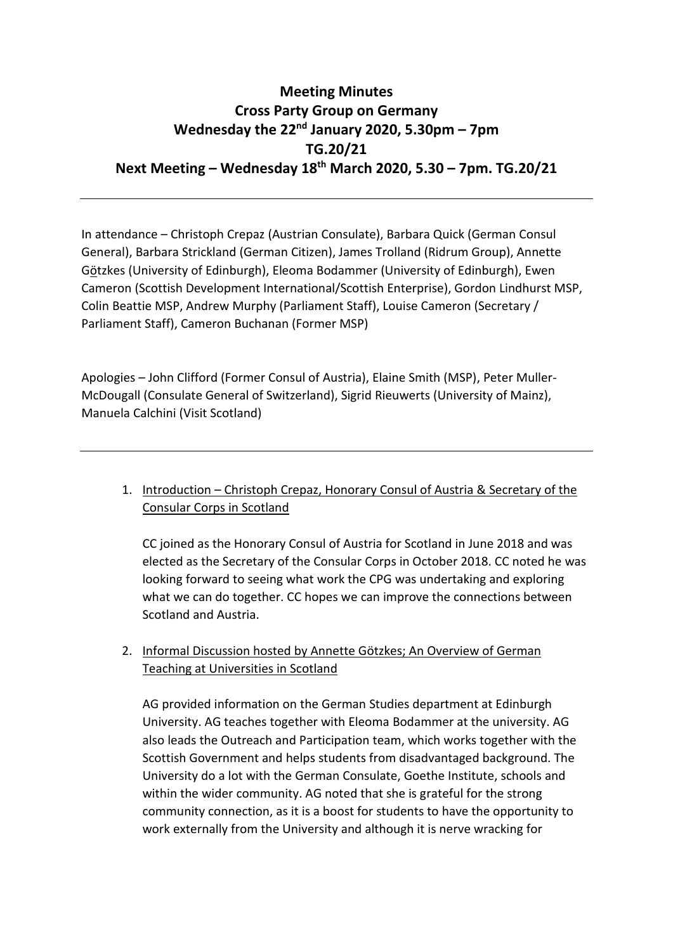# **Meeting Minutes Cross Party Group on Germany Wednesday the 22nd January 2020, 5.30pm – 7pm TG.20/21 Next Meeting – Wednesday 18th March 2020, 5.30 – 7pm. TG.20/21**

In attendance – Christoph Crepaz (Austrian Consulate), Barbara Quick (German Consul General), Barbara Strickland (German Citizen), James Trolland (Ridrum Group), Annette Götzkes (University of Edinburgh), Eleoma Bodammer (University of Edinburgh), Ewen Cameron (Scottish Development International/Scottish Enterprise), Gordon Lindhurst MSP, Colin Beattie MSP, Andrew Murphy (Parliament Staff), Louise Cameron (Secretary / Parliament Staff), Cameron Buchanan (Former MSP)

Apologies – John Clifford (Former Consul of Austria), Elaine Smith (MSP), Peter Muller-McDougall (Consulate General of Switzerland), Sigrid Rieuwerts (University of Mainz), Manuela Calchini (Visit Scotland)

## 1. Introduction – Christoph Crepaz, Honorary Consul of Austria & Secretary of the Consular Corps in Scotland

CC joined as the Honorary Consul of Austria for Scotland in June 2018 and was elected as the Secretary of the Consular Corps in October 2018. CC noted he was looking forward to seeing what work the CPG was undertaking and exploring what we can do together. CC hopes we can improve the connections between Scotland and Austria.

## 2. Informal Discussion hosted by Annette Götzkes; An Overview of German Teaching at Universities in Scotland

AG provided information on the German Studies department at Edinburgh University. AG teaches together with Eleoma Bodammer at the university. AG also leads the Outreach and Participation team, which works together with the Scottish Government and helps students from disadvantaged background. The University do a lot with the German Consulate, Goethe Institute, schools and within the wider community. AG noted that she is grateful for the strong community connection, as it is a boost for students to have the opportunity to work externally from the University and although it is nerve wracking for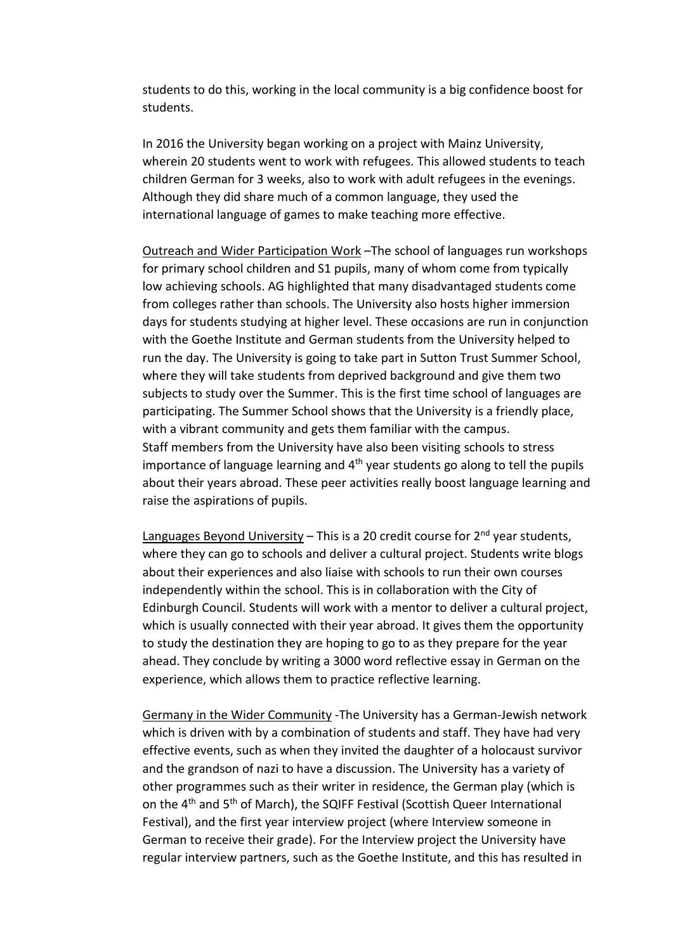students to do this, working in the local community is a big confidence boost for students.

In 2016 the University began working on a project with Mainz University, wherein 20 students went to work with refugees. This allowed students to teach children German for 3 weeks, also to work with adult refugees in the evenings. Although they did share much of a common language, they used the international language of games to make teaching more effective.

Outreach and Wider Participation Work –The school of languages run workshops for primary school children and S1 pupils, many of whom come from typically low achieving schools. AG highlighted that many disadvantaged students come from colleges rather than schools. The University also hosts higher immersion days for students studying at higher level. These occasions are run in conjunction with the Goethe Institute and German students from the University helped to run the day. The University is going to take part in Sutton Trust Summer School, where they will take students from deprived background and give them two subjects to study over the Summer. This is the first time school of languages are participating. The Summer School shows that the University is a friendly place, with a vibrant community and gets them familiar with the campus. Staff members from the University have also been visiting schools to stress importance of language learning and 4<sup>th</sup> year students go along to tell the pupils about their years abroad. These peer activities really boost language learning and raise the aspirations of pupils.

Languages Beyond University – This is a 20 credit course for  $2<sup>nd</sup>$  year students, where they can go to schools and deliver a cultural project. Students write blogs about their experiences and also liaise with schools to run their own courses independently within the school. This is in collaboration with the City of Edinburgh Council. Students will work with a mentor to deliver a cultural project, which is usually connected with their year abroad. It gives them the opportunity to study the destination they are hoping to go to as they prepare for the year ahead. They conclude by writing a 3000 word reflective essay in German on the experience, which allows them to practice reflective learning.

Germany in the Wider Community -The University has a German-Jewish network which is driven with by a combination of students and staff. They have had very effective events, such as when they invited the daughter of a holocaust survivor and the grandson of nazi to have a discussion. The University has a variety of other programmes such as their writer in residence, the German play (which is on the 4th and 5th of March), the SQIFF Festival (Scottish Queer International Festival), and the first year interview project (where Interview someone in German to receive their grade). For the Interview project the University have regular interview partners, such as the Goethe Institute, and this has resulted in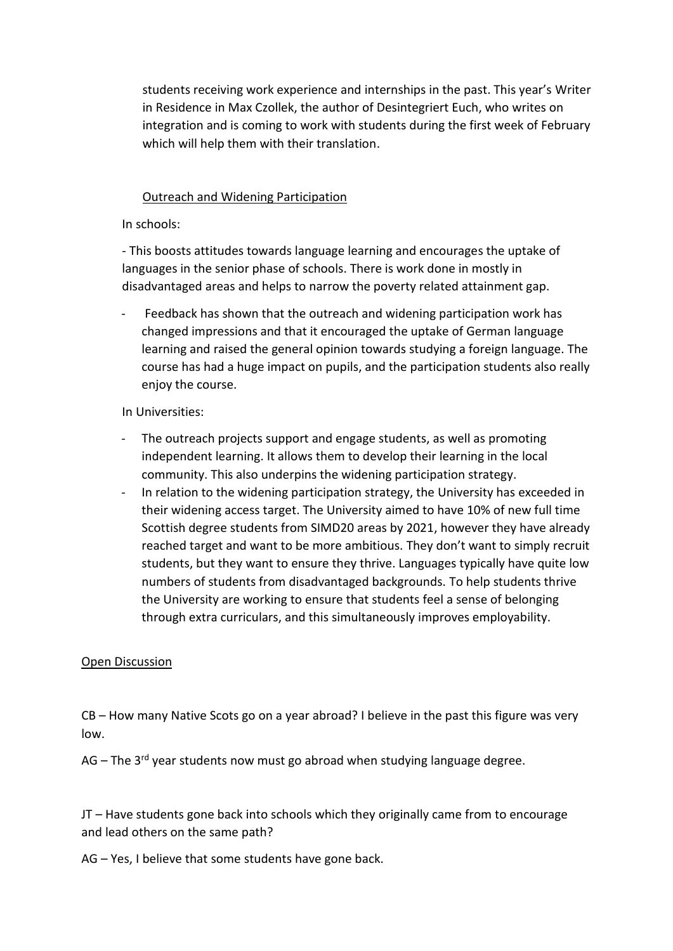students receiving work experience and internships in the past. This year's Writer in Residence in Max Czollek, the author of Desintegriert Euch, who writes on integration and is coming to work with students during the first week of February which will help them with their translation.

#### Outreach and Widening Participation

In schools:

- This boosts attitudes towards language learning and encourages the uptake of languages in the senior phase of schools. There is work done in mostly in disadvantaged areas and helps to narrow the poverty related attainment gap.

Feedback has shown that the outreach and widening participation work has changed impressions and that it encouraged the uptake of German language learning and raised the general opinion towards studying a foreign language. The course has had a huge impact on pupils, and the participation students also really enjoy the course.

In Universities:

- The outreach projects support and engage students, as well as promoting independent learning. It allows them to develop their learning in the local community. This also underpins the widening participation strategy.
- In relation to the widening participation strategy, the University has exceeded in their widening access target. The University aimed to have 10% of new full time Scottish degree students from SIMD20 areas by 2021, however they have already reached target and want to be more ambitious. They don't want to simply recruit students, but they want to ensure they thrive. Languages typically have quite low numbers of students from disadvantaged backgrounds. To help students thrive the University are working to ensure that students feel a sense of belonging through extra curriculars, and this simultaneously improves employability.

#### Open Discussion

CB – How many Native Scots go on a year abroad? I believe in the past this figure was very low.

AG – The 3<sup>rd</sup> year students now must go abroad when studying language degree.

JT – Have students gone back into schools which they originally came from to encourage and lead others on the same path?

AG – Yes, I believe that some students have gone back.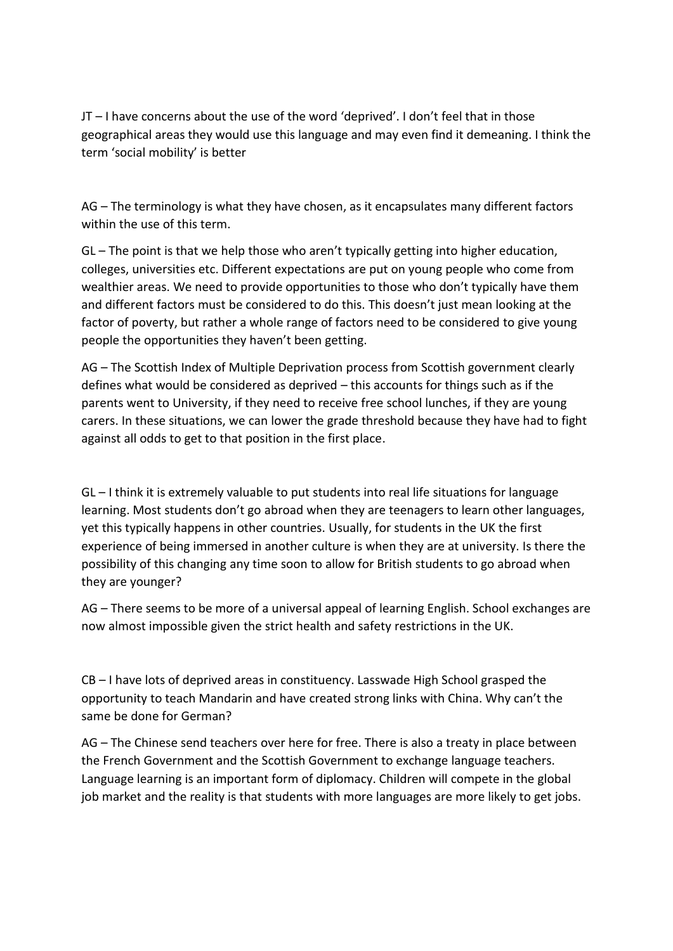JT – I have concerns about the use of the word 'deprived'. I don't feel that in those geographical areas they would use this language and may even find it demeaning. I think the term 'social mobility' is better

AG – The terminology is what they have chosen, as it encapsulates many different factors within the use of this term.

GL – The point is that we help those who aren't typically getting into higher education, colleges, universities etc. Different expectations are put on young people who come from wealthier areas. We need to provide opportunities to those who don't typically have them and different factors must be considered to do this. This doesn't just mean looking at the factor of poverty, but rather a whole range of factors need to be considered to give young people the opportunities they haven't been getting.

AG – The Scottish Index of Multiple Deprivation process from Scottish government clearly defines what would be considered as deprived – this accounts for things such as if the parents went to University, if they need to receive free school lunches, if they are young carers. In these situations, we can lower the grade threshold because they have had to fight against all odds to get to that position in the first place.

GL – I think it is extremely valuable to put students into real life situations for language learning. Most students don't go abroad when they are teenagers to learn other languages, yet this typically happens in other countries. Usually, for students in the UK the first experience of being immersed in another culture is when they are at university. Is there the possibility of this changing any time soon to allow for British students to go abroad when they are younger?

AG – There seems to be more of a universal appeal of learning English. School exchanges are now almost impossible given the strict health and safety restrictions in the UK.

CB – I have lots of deprived areas in constituency. Lasswade High School grasped the opportunity to teach Mandarin and have created strong links with China. Why can't the same be done for German?

AG – The Chinese send teachers over here for free. There is also a treaty in place between the French Government and the Scottish Government to exchange language teachers. Language learning is an important form of diplomacy. Children will compete in the global job market and the reality is that students with more languages are more likely to get jobs.